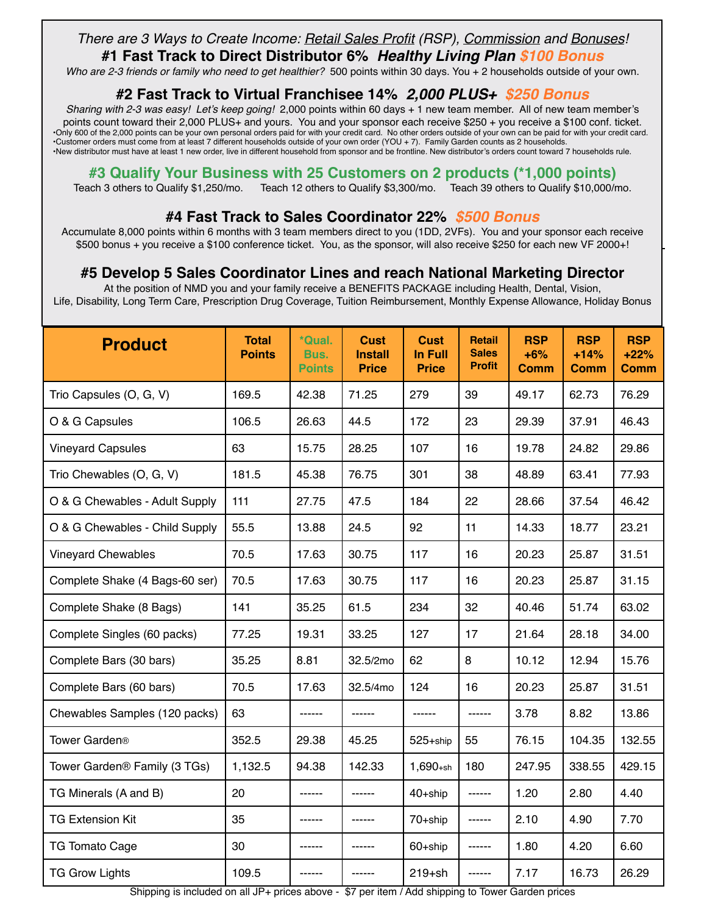# *There are 3 Ways to Create Income: Retail Sales Profit (RSP), Commission and Bonuses!*

**#1 Fast Track to Direct Distributor 6%** *Healthy Living Plan \$100 Bonus*

*Who are 2-3 friends or family who need to get healthier?* 500 points within 30 days. You + 2 households outside of your own.

### **#2 Fast Track to Virtual Franchisee 14%** *2,000 PLUS+ \$250 Bonus*

*Sharing with 2-3 was easy! Let's keep going!* 2,000 points within 60 days + 1 new team member. All of new team member's points count toward their 2,000 PLUS+ and yours. You and your sponsor each receive \$250 + you receive a \$100 conf. ticket. •Only 600 of the 2,000 points can be your own personal orders paid for with your credit card. No other orders outside of your own can be paid for with your credit card. •Customer orders must come from at least 7 different households outside of your own order (YOU + 7). Family Garden counts as 2 households. •New distributor must have at least 1 new order, live in different household from sponsor and be frontline. New distributor's orders count toward 7 households rule.

### **#3 Qualify Your Business with 25 Customers on 2 products (\*1,000 points)**

Teach 3 others to Qualify \$1,250/mo. Teach 12 others to Qualify \$3,300/mo. Teach 39 others to Qualify \$10,000/mo.

## **#4 Fast Track to Sales Coordinator 22%** *\$500 Bonus*

Accumulate 8,000 points within 6 months with 3 team members direct to you (1DD, 2VFs). You and your sponsor each receive \$500 bonus + you receive a \$100 conference ticket. You, as the sponsor, will also receive \$250 for each new VF 2000+!

## **#5 Develop 5 Sales Coordinator Lines and reach National Marketing Director**

At the position of NMD you and your family receive a BENEFITS PACKAGE including Health, Dental, Vision, Life, Disability, Long Term Care, Prescription Drug Coverage, Tuition Reimbursement, Monthly Expense Allowance, Holiday Bonus

| <b>Product</b>                           | <b>Total</b><br><b>Points</b> | *Qual.<br>Bus.<br><b>Points</b> | <b>Cust</b><br><b>Install</b><br><b>Price</b> | <b>Cust</b><br><b>In Full</b><br><b>Price</b> | <b>Retail</b><br><b>Sales</b><br><b>Profit</b> | <b>RSP</b><br>$+6%$<br><b>Comm</b> | <b>RSP</b><br>$+14%$<br><b>Comm</b> | <b>RSP</b><br>$+22%$<br><b>Comm</b> |
|------------------------------------------|-------------------------------|---------------------------------|-----------------------------------------------|-----------------------------------------------|------------------------------------------------|------------------------------------|-------------------------------------|-------------------------------------|
| Trio Capsules (O, G, V)                  | 169.5                         | 42.38                           | 71.25                                         | 279                                           | 39                                             | 49.17                              | 62.73                               | 76.29                               |
| O & G Capsules                           | 106.5                         | 26.63                           | 44.5                                          | 172                                           | 23                                             | 29.39                              | 37.91                               | 46.43                               |
| <b>Vineyard Capsules</b>                 | 63                            | 15.75                           | 28.25                                         | 107                                           | 16                                             | 19.78                              | 24.82                               | 29.86                               |
| Trio Chewables (O, G, V)                 | 181.5                         | 45.38                           | 76.75                                         | 301                                           | 38                                             | 48.89                              | 63.41                               | 77.93                               |
| O & G Chewables - Adult Supply           | 111                           | 27.75                           | 47.5                                          | 184                                           | 22                                             | 28.66                              | 37.54                               | 46.42                               |
| O & G Chewables - Child Supply           | 55.5                          | 13.88                           | 24.5                                          | 92                                            | 11                                             | 14.33                              | 18.77                               | 23.21                               |
| <b>Vineyard Chewables</b>                | 70.5                          | 17.63                           | 30.75                                         | 117                                           | 16                                             | 20.23                              | 25.87                               | 31.51                               |
| Complete Shake (4 Bags-60 ser)           | 70.5                          | 17.63                           | 30.75                                         | 117                                           | 16                                             | 20.23                              | 25.87                               | 31.15                               |
| Complete Shake (8 Bags)                  | 141                           | 35.25                           | 61.5                                          | 234                                           | 32                                             | 40.46                              | 51.74                               | 63.02                               |
| Complete Singles (60 packs)              | 77.25                         | 19.31                           | 33.25                                         | 127                                           | 17                                             | 21.64                              | 28.18                               | 34.00                               |
| Complete Bars (30 bars)                  | 35.25                         | 8.81                            | 32.5/2mo                                      | 62                                            | 8                                              | 10.12                              | 12.94                               | 15.76                               |
| Complete Bars (60 bars)                  | 70.5                          | 17.63                           | 32.5/4mo                                      | 124                                           | 16                                             | 20.23                              | 25.87                               | 31.51                               |
| Chewables Samples (120 packs)            | 63                            | ------                          | ------                                        | ------                                        | ------                                         | 3.78                               | 8.82                                | 13.86                               |
| Tower Garden <sup>®</sup>                | 352.5                         | 29.38                           | 45.25                                         | 525+ship                                      | 55                                             | 76.15                              | 104.35                              | 132.55                              |
| Tower Garden <sup>®</sup> Family (3 TGs) | 1,132.5                       | 94.38                           | 142.33                                        | $1,690+sh$                                    | 180                                            | 247.95                             | 338.55                              | 429.15                              |
| TG Minerals (A and B)                    | 20                            | ------                          |                                               | 40+ship                                       | ------                                         | 1.20                               | 2.80                                | 4.40                                |
| <b>TG Extension Kit</b>                  | 35                            |                                 |                                               | 70+ship                                       |                                                | 2.10                               | 4.90                                | 7.70                                |
| <b>TG Tomato Cage</b>                    | 30                            | ------                          |                                               | 60+ship                                       | ------                                         | 1.80                               | 4.20                                | 6.60                                |
| <b>TG Grow Lights</b>                    | 109.5                         | ------                          | ------                                        | $219+sh$                                      | ------                                         | 7.17                               | 16.73                               | 26.29                               |

Shipping is included on all JP+ prices above - \$7 per item / Add shipping to Tower Garden prices